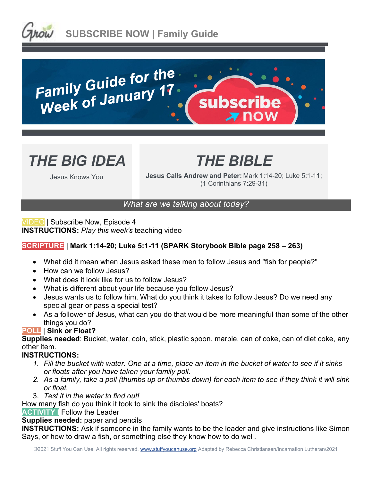





## *THE BIBLE*

Jesus Knows You

**Jesus Calls Andrew and Peter:** Mark 1:14-20; Luke 5:1-11; (1 Corinthians 7:29-31)

### *What are we talking about today?*

VIDEO | Subscribe Now, Episode 4 **INSTRUCTIONS:** *Play this week's* teaching video

### **SCRIPTURE | Mark 1:14-20; Luke 5:1-11 (SPARK Storybook Bible page 258 – 263)**

- What did it mean when Jesus asked these men to follow Jesus and "fish for people?"
- How can we follow Jesus?
- What does it look like for us to follow Jesus?
- What is different about your life because you follow Jesus?
- Jesus wants us to follow him. What do you think it takes to follow Jesus? Do we need any special gear or pass a special test?
- As a follower of Jesus, what can you do that would be more meaningful than some of the other things you do?

### **POLL** | **Sink or Float?**

**Supplies needed**: Bucket, water, coin, stick, plastic spoon, marble, can of coke, can of diet coke, any other item.

### **INSTRUCTIONS:**

- *1. Fill the bucket with water. One at a time, place an item in the bucket of water to see if it sinks or floats after you have taken your family poll.*
- *2. As a family, take a poll (thumbs up or thumbs down) for each item to see if they think it will sink or float.*
- 3. *Test it in the water to find out!*

How many fish do you think it took to sink the disciples' boats?

**ACTIVITY I** Follow the Leader

### **Supplies needed:** paper and pencils

**INSTRUCTIONS:** Ask if someone in the family wants to be the leader and give instructions like Simon Says, or how to draw a fish, or something else they know how to do well.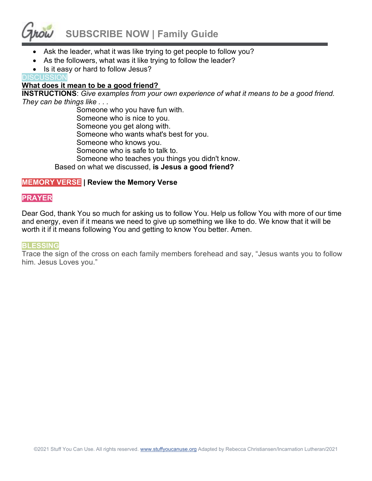# **SUBSCRIBE NOW | Family Guide**

- Ask the leader, what it was like trying to get people to follow you?
- As the followers, what was it like trying to follow the leader?
- Is it easy or hard to follow Jesus?

### **DISCUSSION**

### **What does it mean to be a good friend?**

**INSTRUCTIONS**: *Give examples from your own experience of what it means to be a good friend. They can be things like . . .*

> Someone who you have fun with. Someone who is nice to you. Someone you get along with. Someone who wants what's best for you. Someone who knows you. Someone who is safe to talk to. Someone who teaches you things you didn't know. Based on what we discussed, **is Jesus a good friend?**

### **MEMORY VERSE | Review the Memory Verse**

### **PRAYER**

Dear God, thank You so much for asking us to follow You. Help us follow You with more of our time and energy, even if it means we need to give up something we like to do. We know that it will be worth it if it means following You and getting to know You better. Amen.

#### **BLESSING**

Trace the sign of the cross on each family members forehead and say, "Jesus wants you to follow him. Jesus Loves you."